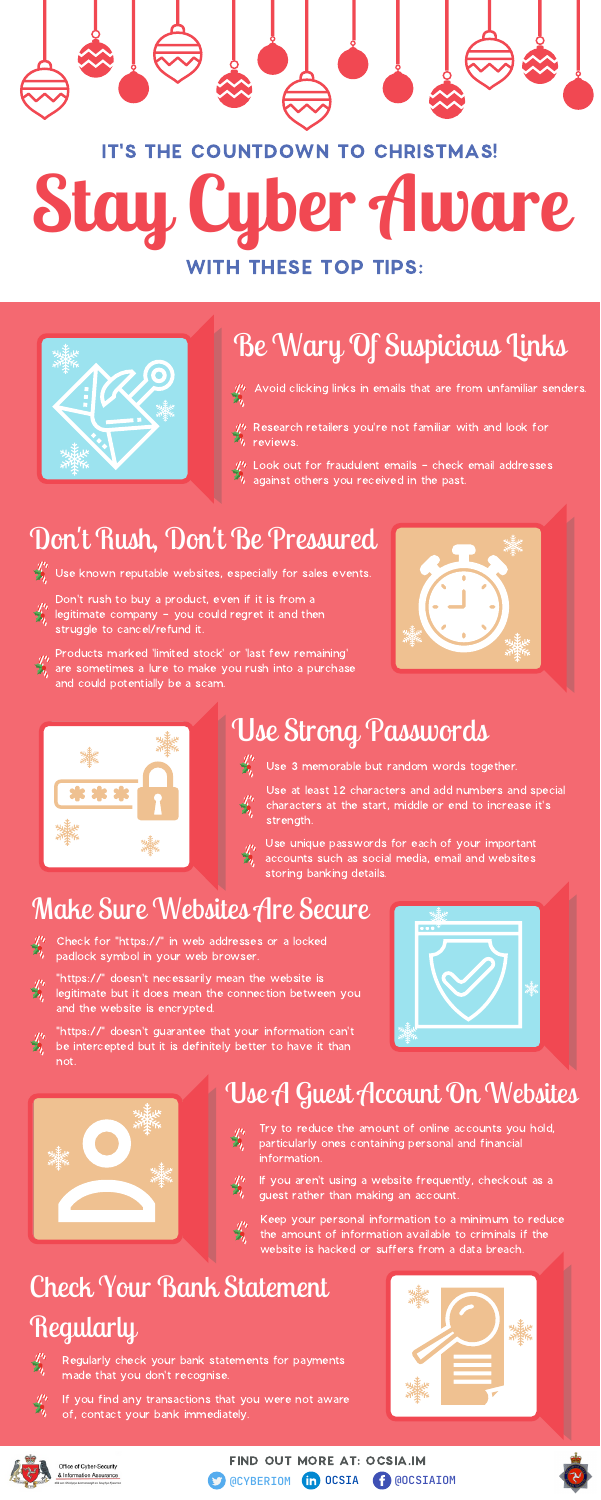### Check Your Bank Statement Regularly





- $\frac{1}{4}$  Avoid clicking links in emails that are from unfamiliar senders.
- $\mathscr{R}$  Research retailers you're not familiar with and look for reviews.
- $\mathcal{U}^h$  Look out for fraudulent emails check email addresses against others you received in the past.

# **Stay Cyber Aware** IT'S THE COUNTDOWN TO CHRISTMAS!

### Use Strong Passwords



Use at least 12 characters and add numbers and special characters at the start, middle or end to increase it's strength.

#### Make Sure Websites Are Secure

Check for "https://" in web addresses or a locked padlock symbol in your web browser.



- Don't rush to buy a product, even if it is from a legitimate company - you could regret it and then struggle to cancel/refund it.
- 

### Use A Guest Account On Websites

Products marked 'limited stock' or 'last few remaining' are sometimes a lure to make you rush into a purchase

and could potentially be a scam.

"https://" doesn't necessarily mean the website is legitimate but it does mean the connection between you and the website is encrypted.



Keep your personal information to a minimum to reduce the amount of information available to criminals if the website is hacked or suffers from a data breach.

FIND OUT MORE AT: OCSIA.IM @CYBERIOM **in OCSIA** <sup>1</sup> @OCSIAIOM







## Be Wary Of Suspicious Links

### Don 't Rush, Don 't Be Pressured

 $\mathcal{L}^{\prime\prime}$  Use known reputable websites, especially for sales events.

Use unique passwords for each of your important accounts such as social media, email and websites storing banking details.

"https://" doesn't guarantee that your information can't be intercepted but it is definitely better to have it than not.





- Try to reduce the amount of online accounts you hold,  $\frac{d^n}{dx^n}$ particularly ones containing personal and financial information.
	- If you aren't using a website frequently, checkout as a guest rather than making an account.



Regularly check your bank statements for payments made that you don't recognise.

If you find any transactions that you were not aware of, contact your bank immediately.





Office of Cyber-Security & Information Assurance Use 3 memorable but random words together.